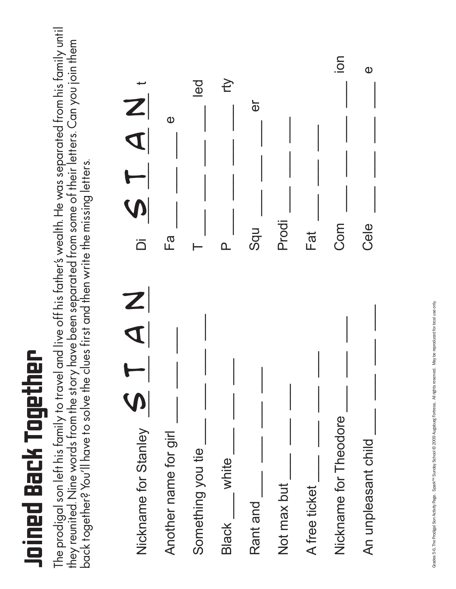